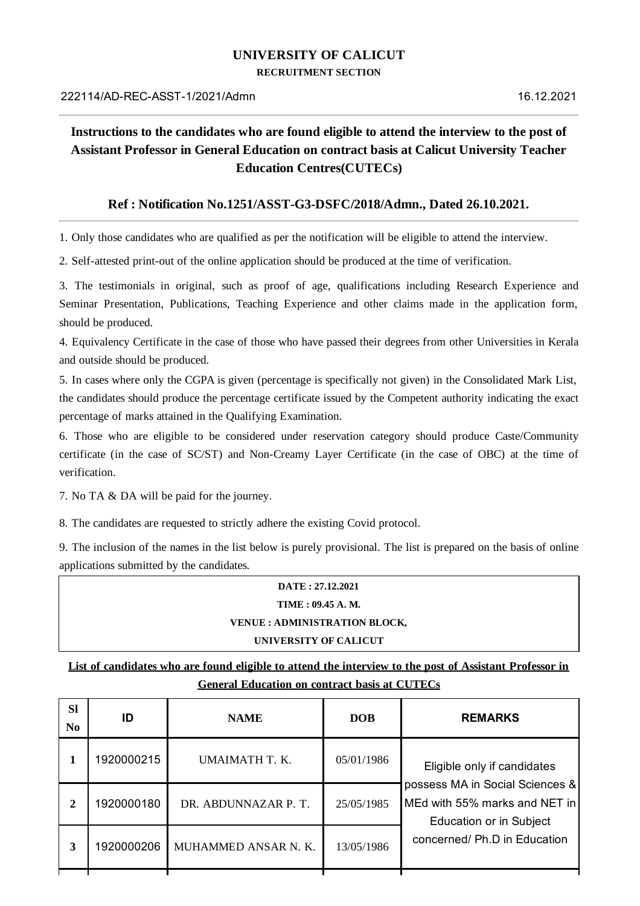## **UNIVERSITY OF CALICUT**

**RECRUITMENT SECTION**

## **Instructions to the candidates who are found eligible to attend the interview to the post of Assistant Professor in General Education on contract basis at Calicut University Teacher Education Centres(CUTECs)**

## **Ref : Notification No.1251/ASST-G3-DSFC/2018/Admn., Dated 26.10.2021.**

1. Only those candidates who are qualified as per the notification will be eligible to attend the interview.

2. Self-attested print-out of the online application should be produced at the time of verification.

3. The testimonials in original, such as proof of age, qualifications including Research Experience and Seminar Presentation, Publications, Teaching Experience and other claims made in the application form, should be produced.

4. Equivalency Certificate in the case of those who have passed their degrees from other Universities in Kerala and outside should be produced.

5. In cases where only the CGPA is given (percentage is specifically not given) in the Consolidated Mark List, the candidates should produce the percentage certificate issued by the Competent authority indicating the exact percentage of marks attained in the Qualifying Examination.

6. Those who are eligible to be considered under reservation category should produce Caste/Community certificate (in the case of SC/ST) and Non-Creamy Layer Certificate (in the case of OBC) at the time of verification.

7. No TA & DA will be paid for the journey.

8. The candidates are requested to strictly adhere the existing Covid protocol.

9. The inclusion of the names in the list below is purely provisional. The list is prepared on the basis of online applications submitted by the candidates.

## **DATE : 27.12.2021 TIME : 09.45 A. M. VENUE : ADMINISTRATION BLOCK,**

**UNIVERSITY OF CALICUT**

List of candidates who are found eligible to attend the interview to the post of Assistant Professor in **General Education on contract basis at CUTECs**

| <b>Sl</b><br>No | ID         | <b>NAME</b>          | <b>DOB</b> | <b>REMARKS</b>                                                                                                                                                    |
|-----------------|------------|----------------------|------------|-------------------------------------------------------------------------------------------------------------------------------------------------------------------|
|                 | 1920000215 | UMAIMATH T. K.       | 05/01/1986 | Eligible only if candidates<br>possess MA in Social Sciences &<br>MEd with 55% marks and NET in<br><b>Education or in Subject</b><br>concerned/ Ph.D in Education |
| $\overline{2}$  | 1920000180 | DR. ABDUNNAZAR P. T. | 25/05/1985 |                                                                                                                                                                   |
| 3               | 1920000206 | MUHAMMED ANSAR N. K. | 13/05/1986 |                                                                                                                                                                   |
|                 |            |                      |            |                                                                                                                                                                   |